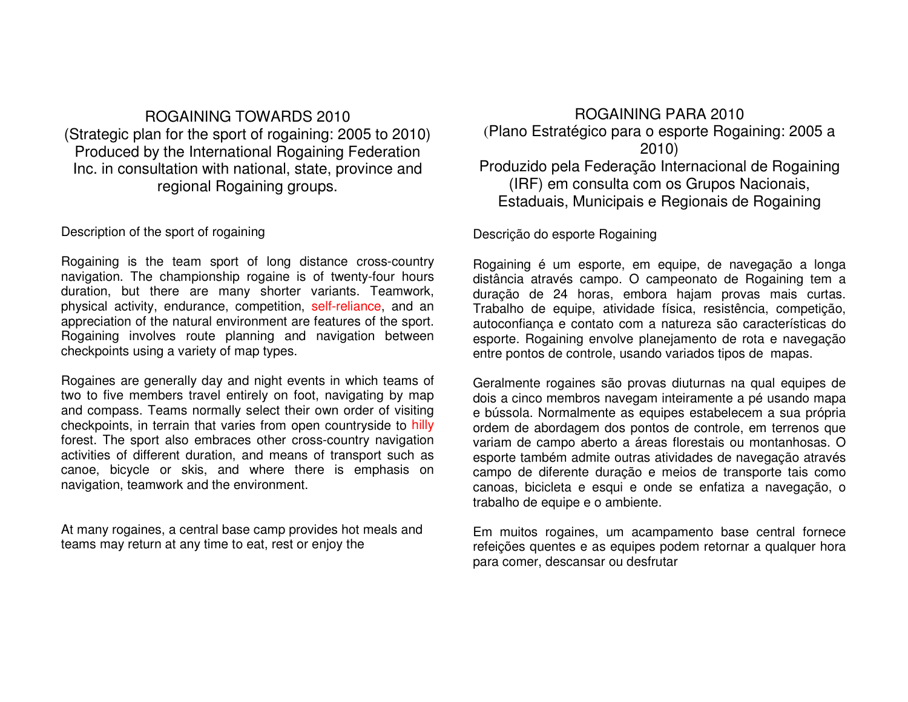# ROGAINING TOWARDS 2010 (Strategic plan for the sport of rogaining: 2005 to 2010) Produced by the International Rogaining Federation Inc. in consultation with national, state, province and regional Rogaining groups.

#### Description of the sport of rogaining

Rogaining is the team sport of long distance cross-country navigation. The championship rogaine is of twenty-four hours duration, but there are many shorter variants. Teamwork, physical activity, endurance, competition, self-reliance, and an appreciation of the natural environment are features of the sport. Rogaining involves route planning and navigation between checkpoints using a variety of map types.

Rogaines are generally day and night events in which teams of two to five members travel entirely on foot, navigating by map and compass. Teams normally select their own order of visiting checkpoints, in terrain that varies from open countryside to hilly forest. The sport also embraces other cross-country navigation activities of different duration, and means of transport such as canoe, bicycle or skis, and where there is emphasis on navigation, teamwork and the environment.

At many rogaines, a central base camp provides hot meals and teams may return at any time to eat, rest or enjoy the

# ROGAINING PARA 2010 (Plano Estratégico para o esporte Rogaining: 2005 a 2010) Produzido pela Federação Internacional de Rogaining (IRF) em consulta com os Grupos Nacionais, Estaduais, Municipais e Regionais de Rogaining

Descrição do esporte Rogaining

Rogaining é um esporte, em equipe, de navegação a longa distância através campo. O campeonato de Rogaining tem a duração de 24 horas, embora hajam provas mais curtas. Trabalho de equipe, atividade física, resistência, competição, autoconfiança e contato com a natureza são características do esporte. Rogaining envolve planejamento de rota e navegação entre pontos de controle, usando variados tipos de mapas.

Geralmente rogaines são provas diuturnas na qual equipes de dois a cinco membros navegam inteiramente a pé usando mapa e bússola. Normalmente as equipes estabelecem a sua própria ordem de abordagem dos pontos de controle, em terrenos que variam de campo aberto a áreas florestais ou montanhosas. O esporte também admite outras atividades de navegação através campo de diferente duração e meios de transporte tais como canoas, bicicleta e esqui e onde se enfatiza a navegação, o trabalho de equipe e o ambiente.

Em muitos rogaines, um acampamento base central fornece refeições quentes e as equipes podem retornar a qualquer hora para comer, descansar ou desfrutar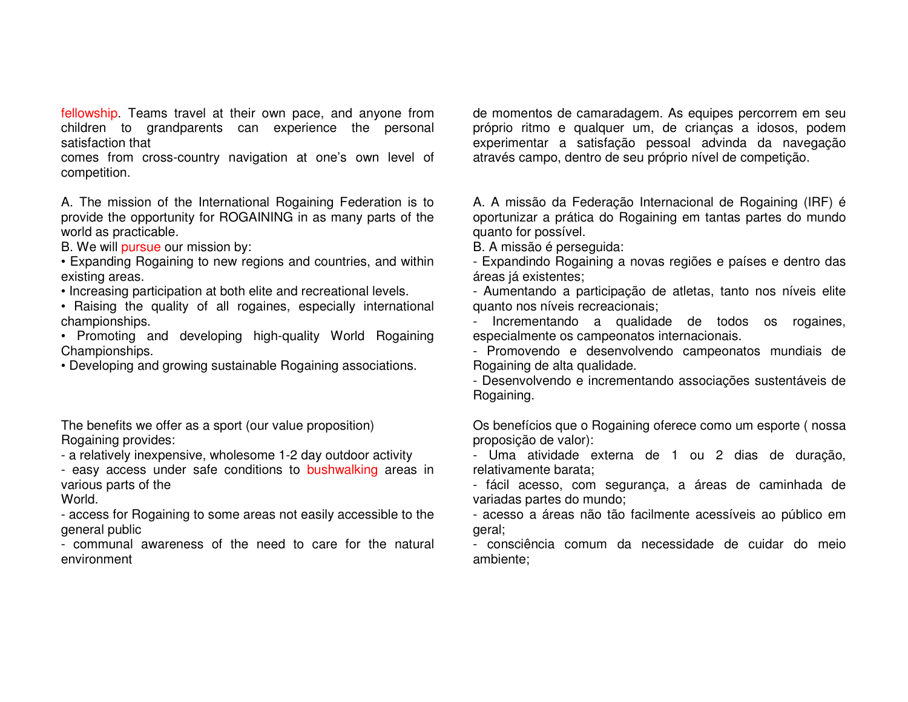fellowship. Teams travel at their own pace, and anyone from children to grandparents can experience the personal satisfaction that

comes from cross-country navigation at one's own level of competition.

A. The mission of the International Rogaining Federation is to provide the opportunity for ROGAINING in as many parts of the world as practicable.

B. We will pursue our mission by:

• Expanding Rogaining to new regions and countries, and within existing areas.

- Increasing participation at both elite and recreational levels.
- Raising the quality of all rogaines, especially international championships.
- Promoting and developing high-quality World Rogaining Championships.
- Developing and growing sustainable Rogaining associations.

The benefits we offer as <sup>a</sup> sport (our value proposition) Rogaining provides:

- a relatively inexpensive, wholesome 1-2 day outdoor activity

- easy access under safe conditions to bushwalking areas in various parts of the

World.

- access for Rogaining to some areas not easily accessible to the general public

- communal awareness of the need to care for the natural environment

de momentos de camaradagem. As equipes percorrem em seu próprio ritmo <sup>e</sup> qualquer um, de crianças <sup>a</sup> idosos, podem experimentar <sup>a</sup> satisfação pessoal advinda da navegação através campo, dentro de seu próprio nível de competição.

A. A missão da Federação Internacional de Rogaining (IRF) é oportunizar <sup>a</sup> prática do Rogaining em tantas partes do mundo quanto for possível.

B. A missão é perseguida:

- Expandindo Rogaining <sup>a</sup> novas regiões <sup>e</sup> países <sup>e</sup> dentro das áreas já existentes;

- Aumentando <sup>a</sup> participação de atletas, tanto nos níveis elite quanto nos níveis recreacionais;

- Incrementando <sup>a</sup> qualidade de todos os rogaines, especialmente os campeonatos internacionais.

- Promovendo <sup>e</sup> desenvolvendo campeonatos mundiais de Rogaining de alta qualidade.

- Desenvolvendo <sup>e</sup> incrementando associações sustentáveis de Rogaining.

Os benefícios que <sup>o</sup> Rogaining oferece como um esporte ( nossa proposição de valor):

- Uma atividade externa de 1 ou 2 dias de duração, relativamente barata;

- fácil acesso, com segurança, <sup>a</sup> áreas de caminhada de variadas partes do mundo;

- acesso <sup>a</sup> áreas não tão facilmente acessíveis ao público em geral;

- consciência comum da necessidade de cuidar do meio ambiente;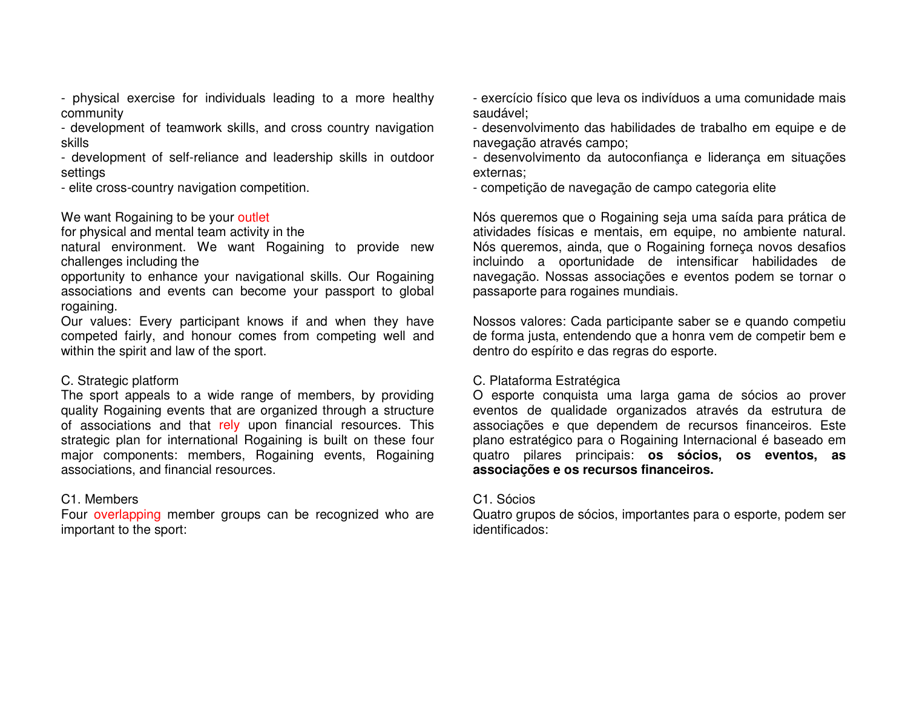- physical exercise for individuals leading to <sup>a</sup> more healthy community

- development of teamwork skills, and cross country navigation skills

- development of self-reliance and leadership skills in outdoor settings

- elite cross-country navigation competition.

#### We want Rogaining to be your outlet

for physical and mental team activity in the

natural environment. We want Rogaining to provide new challenges including the

opportunity to enhance your navigational skills. Our Rogaining associations and events can become your passport to global rogaining.

Our values: Every participant knows if and when they have competed fairly, and honour comes from competing well and within the spirit and law of the sport.

#### C. Strategic platform

The sport appeals to <sup>a</sup> wide range of members, by providing quality Rogaining events that are organized through <sup>a</sup> structure of associations and that rely upon financial resources. This strategic plan for international Rogaining is built on these four major components: members, Rogaining events, Rogaining associations, and financial resources.

# C1. Members

Four overlapping member groups can be recognized who are important to the sport:

- exercício físico que leva os indivíduos <sup>a</sup> uma comunidade mais saudável;

- desenvolvimento das habilidades de trabalho em equipe <sup>e</sup> de navegação através campo;

- desenvolvimento da autoconfiança <sup>e</sup> liderança em situações externas;

- competição de navegação de campo categoria elite

Nós queremos que <sup>o</sup> Rogaining seja uma saída para prática de atividades físicas e mentais, em equipe, no ambiente natural. Nós queremos, ainda, que <sup>o</sup> Rogaining forneça novos desafios incluindo <sup>a</sup> oportunidade de intensificar habilidades de navegação. Nossas associações <sup>e</sup> eventos podem se tornar <sup>o</sup> passaporte para rogaines mundiais.

Nossos valores: Cada participante saber se <sup>e</sup> quando competiu de forma justa, entendendo que <sup>a</sup> honra vem de competir bem <sup>e</sup> dentro do espírito <sup>e</sup> das regras do esporte.

# C. Plataforma Estratégica

O esporte conquista uma larga gama de sócios ao prover eventos de qualidade organizados através da estrutura de associações <sup>e</sup> que dependem de recursos financeiros. Este plano estratégico para <sup>o</sup> Rogaining Internacional é baseado em quatro pilares principais: **os sócios, os eventos, as associações <sup>e</sup> os recursos financeiros.**

# C1. Sócios

Quatro grupos de sócios, importantes para <sup>o</sup> esporte, podem ser identificados: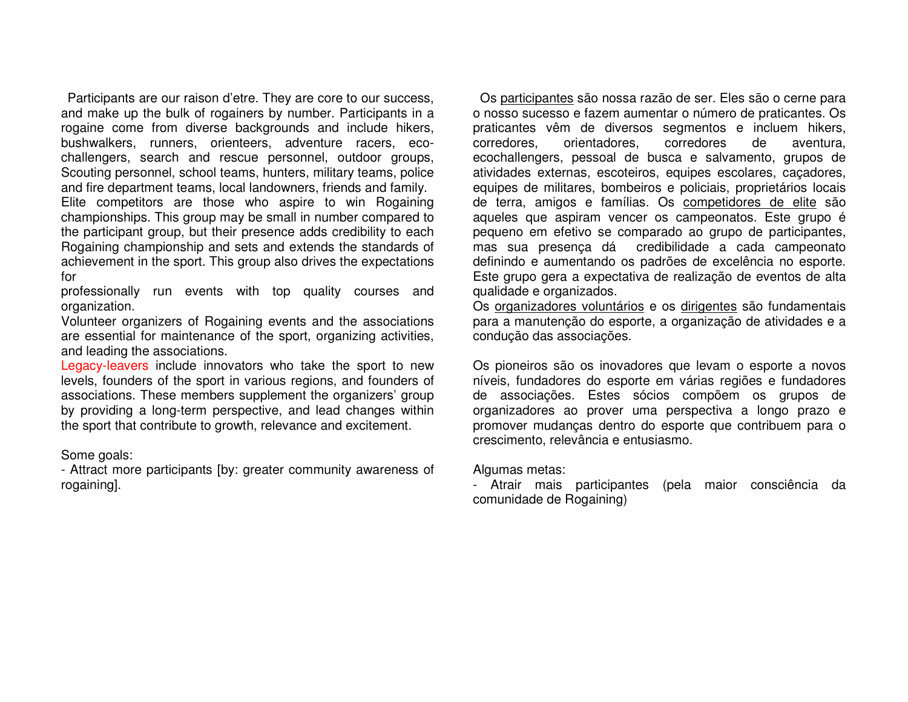Participants are our raison d'etre. They are core to our success, and make up the bulk of rogainers by number. Participants in a rogaine come from diverse backgrounds and include hikers, bushwalkers, runners, orienteers, adventure racers, ecochallengers, search and rescue personnel, outdoor groups, Scouting personnel, school teams, hunters, military teams, police and fire department teams, local landowners, friends and family.

Elite competitors are those who aspire to win Rogaining championships. This group may be small in number compared to the participant group, but their presence adds credibility to each Rogaining championship and sets and extends the standards of achievement in the sport. This group also drives the expectations for

professionally run events with top quality courses and org a niz atio n.

Volunteer organizers of Rogaining events and the associations are essential for maintenance of the sport, organizing activities, and leading the associations.

Legacy-leavers include innovators who take the sport to new levels, founders of the sport in various regions, and founders of associations. These members supplement the organizers' group by providing a long-term perspective, and lead changes within the sport that contribute to growth, relevance and excitement.

#### Some goals:

- Attract more participants [by: greater community awareness of ro g ainin g].

Os <u>participantes</u> são nossa razão de ser. Eles são o cerne para o nosso sucesso e fazem aumentar o número de praticantes. Os praticantes vêm de diversos segmentos e incluem hikers, corredores, orie ntadores, c orredoresdeaventura, ecochallengers, pessoal de busca e salvamento, grupos de atividades externas, escoteiros, equipes escolares, caçadores, equipes de militares, bombeiros e policiais, proprietários locais de terra, amigos e famílias. Os <u>competidores de elite</u> são aqueles que aspiram vencer os campeonatos. Este grupo é pequeno em efetivo se comparado ao grupo de participantes, mas sua presença dá credibilidade a cada campeonato definindo e aumentando os padrões de excelência no esporte. Este grupo gera a expectativa de realização de eventos de alta qualidade e organizados.

Os organizadores voluntários e os dirigentes são fundamentais para a manutenção do esporte, a organização de atividades e a condução das associações.

Os pioneiros são os inovadores que levam o esporte a novos níveis, fundadores do esporte em várias regiões e fundadores de associações. Estes sócios compõem os grupos de organizadores ao prover uma perspectiva a longo prazo e promover mudanças dentro do esporte que contribuem para o crescimento, relevância e entusiasmo.

#### Algumas metas:

- Atrair mais participantes (pela maior consciência da comunidade de Rogaining)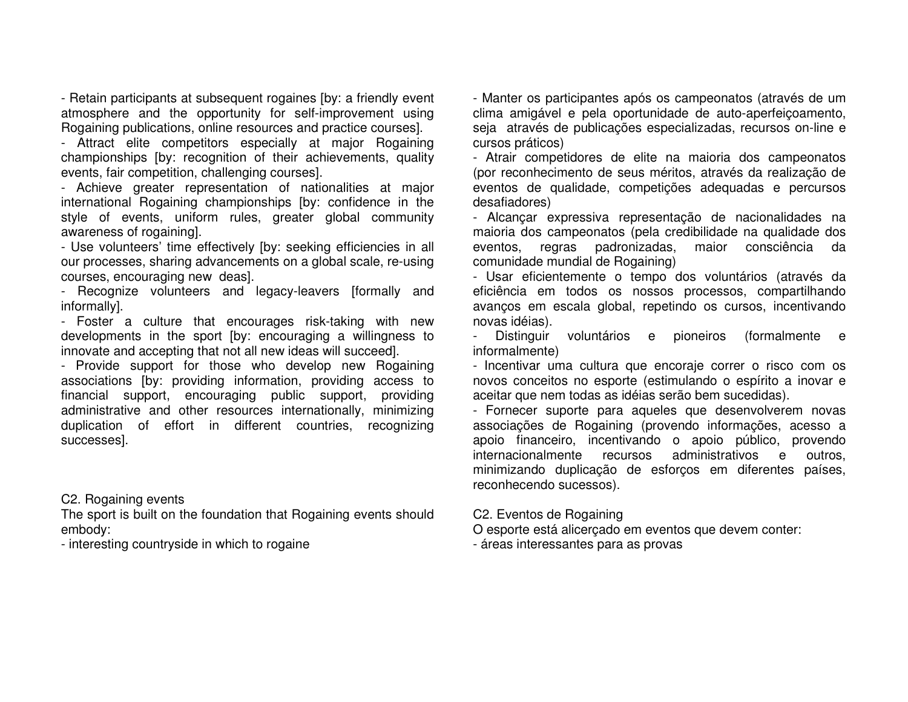- Retain participants at subsequent rogaines [by: a friendly event atmosphere and the opportunity for self-improvement using Rogaining publications, online resources and practice courses].

- Attract elite competitors especially at major Rogaining championships [by: recognition of their achievements, quality events, fair competition, challenging courses].

- Achieve greater representation of nationalities at major international Rogaining championships [by: confidence in the style of events, uniform rules, greater global community awareness of rogaining].

- Use volunteers' time effectively [by: seeking efficiencies in all our processes, sharing advancements on a global scale, re-using courses, encouraging new deas].

- Recognize volunteers and legacy-leavers [formally and informally].

- Foster a culture that encourages risk-taking with new developments in the sport [by: encouraging a willingness to innovate and accepting that not all new ideas will succeed].

- Provide support for those who develop new Rogaining associations [by: providing information, providing access to financial support, encouraging public support, providing administrative and other resources internationally, minimizing duplication of effort in different countries, recognizing successes].

C2. Rog aining events

The sport is built on the foundation that Rogaining events should embody:

- interesting country side in which to ro g aine

- Manter os participantes após os campeonatos (através de um clima amigável e pela oportunidade de auto-aperfeiçoamento, seja através de publicações especializadas, recursos on-line e cursos práticos)

- Atrair competidores de elite na maioria dos campeonatos (por reconhecimento de seus méritos, através da realização de eventos de qualidade, competições adequadas e percursos desafiadores)

- Alcançar expressiva representação de nacionalidades na maioria dos campeonatos (pela credibilidade na qualidade dos eventos, re gra sp adronizadas, m aior consciência da comunidade mundial de Rogaining)

- Usar eficientemente o tempo dos voluntários (através da eficiência em todos os nossos processos, compartilhando avanços em escala global, repetindo os cursos, incentivando novas idéias).

- Disting uir vvoluntários e pioneiros s (formalmente e informalmente)

- Incentivar uma cultura que encoraje correr o risco com os novos conceitos no esporte (estimulando o espírito a inovar e aceitar que nem todas as idéias serão bem sucedidas).

- Fornecer suporte para aqueles que desenvolverem novas associações de Rogaining (provendo informações, acesso a apoio financeiro, incentivando o apoio público, provendo internacionalmente re cursosadministrativos e outros, minimizando duplicação de esforços em diferentes países, reconhecendo sucessos).

C2. Eventos de Rogaining

O esporte está alicerçado em eventos que devem conter:

- áreas interessantes para as provas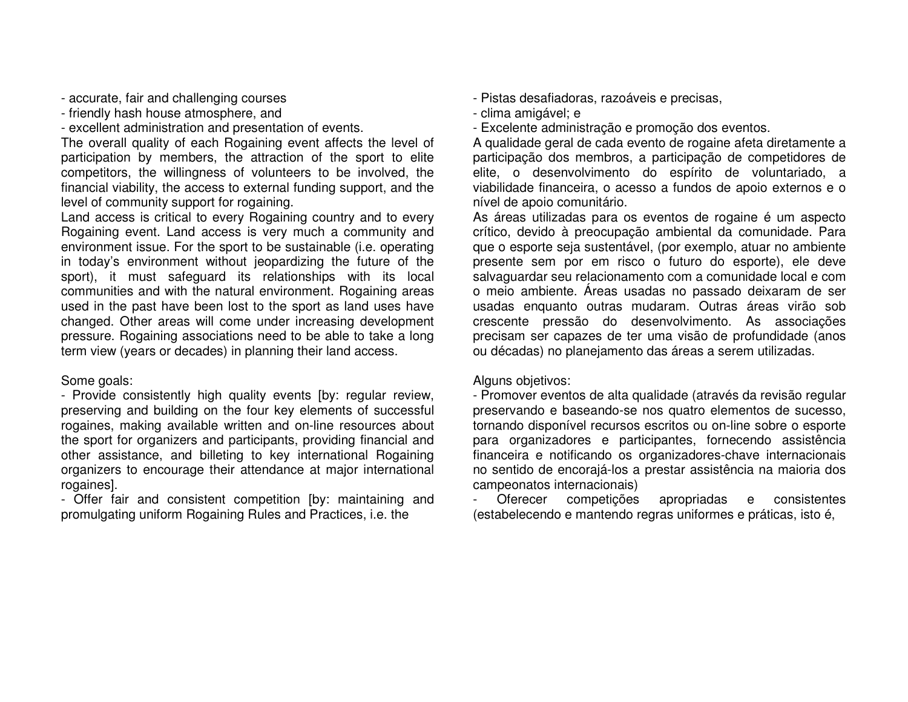- accurate, fair and challenging courses
- friendly hash house atmosphere, and
- excellent administration and presentation of events.

The overall quality of each Rogaining event affects the level of participation by members, the attraction of the sport to elite competitors, the willingness of volunteers to be involved, the financial viability, the access to external funding support, and the level of community support for rogaining.

Land access is critical to every Rogaining country and to every Rogaining event. Land access is very much a community and environment issue. For the sport to be sustainable (i.e. operating in today's environment without jeopardizing the future of the sport), it must safeguard its relationships with its local communities and with the natural environment. Rogaining areas used in the past have been lost to the sport as land uses have changed. Other areas will come under increasing development pressure. Rogaining associations need to be able to take a long term view (years or decades) in planning their land access.

#### Some goals:

- Provide consistently high quality events [by: regular review, preserving and building on the four key elements of successful rogaines, making available written and on-line resources about the sport for organizers and participants, providing financial and other assistance, and billeting to key international Rogaining organizers to encourage their attendance at major international ro g ain e s].

- Offer fair and consistent competition [by: maintaining and promulgating uniform Rogaining Rules and Practices, i.e. the

- Pistas desafiadoras, razoáveis e precisas,
- clima amigável; e
- Excelente administração e promoção dos eventos.

A qualidade geral de cada evento de rogaine afeta diretamente a participação dos membros, a participação de competidores de elite, o desenvolvimento do espírito de voluntariado, a viabilidade financeira, o acesso a fundos de apoio externos e o nível de apoio comunitário.

As áreas utilizadas para os eventos de rogaine é um aspecto crítico, devido à preocupação ambiental da comunidade. Para que o esporte seja sustentável, (por exemplo, atuar no ambiente presente sem por em risco o futuro do esporte), ele deve salvaguardar seu relacionamento com a comunidade local e com o meio ambiente. Áreas usadas no passado deixaram de ser usadas enquanto outras mudaram. Outras áreas virão sob crescente pressão do desenvolvimento. As associações precisam ser capazes de ter uma visão de profundidade (anos ou décadas) no planejamento das áreas a serem utilizadas.

#### Alguns objetivos:

- Promover eventos de alta qualidade (através da revisão regular preservando e baseando-se nos quatro elementos de sucesso, tornando disponível recursos escritos ou on-line sobre o esporte para organizadores e participantes, fornecendo assistência financeira e notificando os organizadores-chave internacionais no sentido de encorajá-los a prestar assistência na maioria dos camp eonatos internacionais)

 Oferecer comp etiç õesapro pria daseconsistentes(estabelecendo e mantendo regras uniformes e práticas, isto é,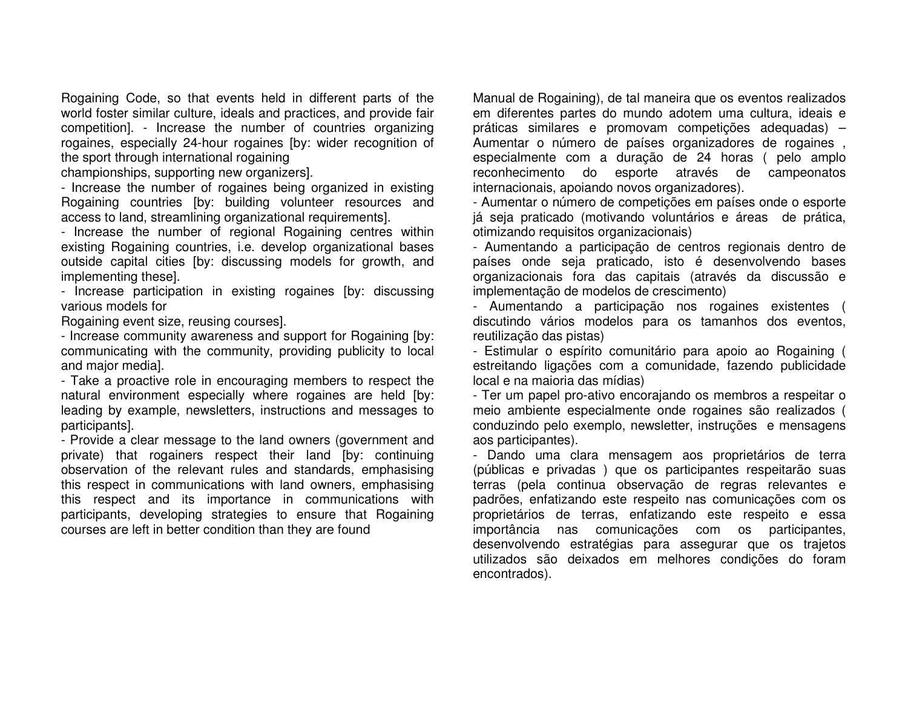Rogaining Code, so that events held in different parts of the world foster similar culture, ideals and practices, and provide fair competition]. - Increase the number of countries organizing rogaines, especially 24-hour rogaines [by: wider recognition of the sport through international rogaining

championships, supporting new organizers].

- Increase the number of rogaines being organized in existing Rogaining countries [by: building volunteer resources and access to land, streamlining organizational requirements].

- Increase the number of regional Rogaining centres within existing Rogaining countries, i.e. develop organizational bases outside capital cities [by: discussing models for growth, and implementing these].

- Increase participation in existing rogaines [by: discussing various models for

Rogaining event size, reusing courses].

- Increase community awareness and support for Rogaining [by: communicating with the community, providing publicity to local and major media].

- Take a proactive role in encouraging members to respect the natural environment especially where rogaines are held [by: leading by example, newsletters, instructions and messages to participants].

- Provide a clear message to the land owners (government and private) that rogainers respect their land [by: continuing observation of the relevant rules and standards, emphasising this respect in communications with land owners, emphasising this respect and its importance in communications with participants, developing strategies to ensure that Rogaining courses are left in better condition than they are found

Manual de Rogaining), de tal maneira que os eventos realizados em diferentes partes do mundo adotem uma cultura, ideais e práticas similares e promovam competições adequadas) – Aumentar o número de países organizadores de rogaines , especialmente com a duração de 24 horas ( pelo amplo reconhecimento do esporte através de campeonatos internacionais, apoiando novos organizadores).

- Aumentar o número de competições em países onde o esporte já seja praticado (motivando voluntários e áreas de prática, otimizando requisitos organizacionais)

- Aumentando a participação de centros regionais dentro de países onde seja praticado, isto é desenvolvendo bases organizacionais fora das capitais (através da discussão e implementação de modelos de crescimento)

- Aumentando a participação nos rogaines existentes ( discutindo vários modelos para os tamanhos dos eventos, reutilização das pistas)

- Estimular o espírito comunitário para apoio ao Rogaining ( estreitando ligações com a comunidade, fazendo publicidade local e na maioria das mídias)

- Ter um papel pro-ativo encorajando os membros a respeitar o meio ambiente especialmente onde rogaines são realizados ( conduzindo pelo exemplo, newsletter, instruções e mensagens aos participantes).

- Dando uma clara mensagem aos proprietários de terra (públicas e privadas ) que os participantes respeitarão suas terras (pela continua observação de regras relevantes e padrões, enfatizando este respeito nas comunicações com os proprietários de terras, enfatizando este respeito e essa importância nas comunicações com os participantes, desenvolvendo estratégias para assegurar que os trajetos utilizados são deixados em melhores condições do foram encontrados).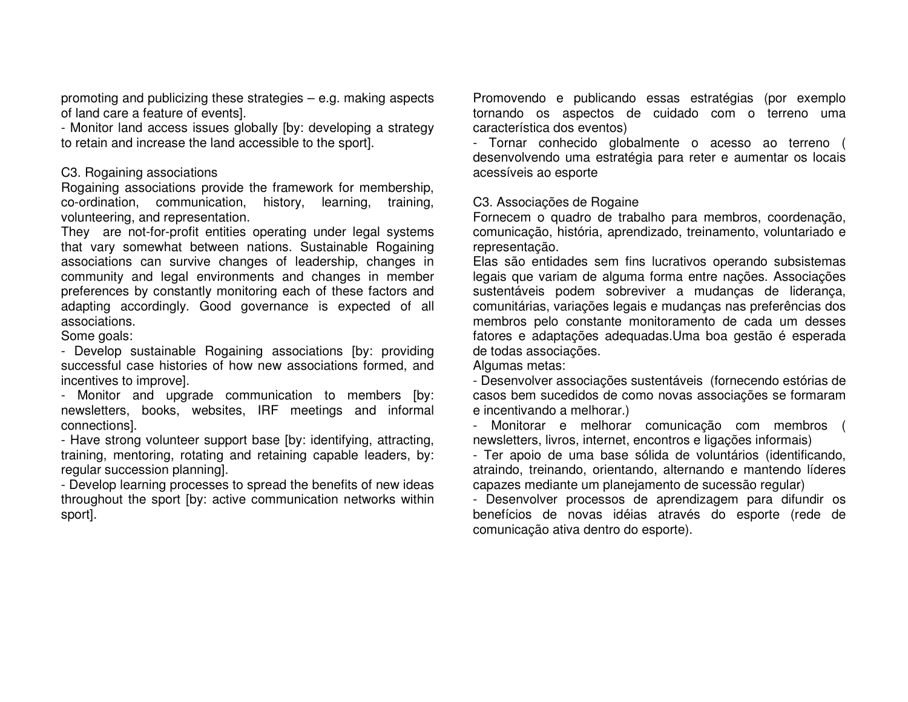promoting and publicizing these strategies – e.g. making aspects of la n d c are a fe ature of e v e nts].

- Monitor land access issues globally [by: developing a strategy to retain and increase the land accessible to the sport].

### C3. Rogaining associations

Rogaining associations provide the framework for membership, co-ordination, communication, history, learning, training, volunteering, and representation.

They are not-for-profit entities operating under legal systems that vary somewhat between nations. Sustainable Rogaining associations can survive changes of leadership, changes in community and legal environments and changes in member preferences by constantly monitoring each of these factors and adapting accordingly. Good governance is expected of all associations.

Some goals:

- Develop sustainable Rogaining associations [by: providing successful case histories of how new associations formed, and incentives to impro ve].

- Monitor and upgrade communication to members [by: newsletters, books, websites, IRF meetings and informal connections].

- Have strong volunteer support base [by: identifying, attracting, training, mentoring, rotating and retaining capable leaders, by: regular succession planning].

- Develop learning processes to spread the benefits of new ideas throughout the sport [by: active communication networks within s p ort].

Promovendo e publicando essas estratégias (por exemplo tornando os aspectos de cuidado com o terreno uma característica dos eventos)

- Tornar conhecido globalmente o acesso ao terreno ( desenvolvendo uma estratégia para reter e aumentar os locais acessíveis ao esporte

# C3. Associações de Rogaine

Fornecem o quadro de trabalho para membros, coordenação, comunicação, história, aprendizado, treinamento, voluntariado e repre sentaç ão.

Elas são entidades sem fins lucrativos operando subsistemas legais que variam de alguma forma entre nações. Associações sustentáveis podem sobreviver a mudanças de liderança, comunitárias, variações legais e mudanças nas preferências dos membros pelo constante monitoramento de cada um desses fatores e adaptações adequadas.Uma boa gestão é esperada de to dasassociaç ões.

Algumas metas:

- Desenvolver associações sustentáveis (fornecendo estórias de casos bem sucedidos de como novas associações se formaram e incentivando a melhorar.)

- Monitorar e melhorar comunicação com membros ( newsletters, livros, internet, encontros e ligações informais)

- Ter apoio de uma base sólida de voluntários (identificando, atraindo, treinando, orientando, alternando e mantendo líderes capazes mediante um planejamento de sucessão regular)

- Desenvolver processos de aprendizagem para difundir os benefícios de novas idéias através do esporte (rede de comunicação ativa dentro do esporte).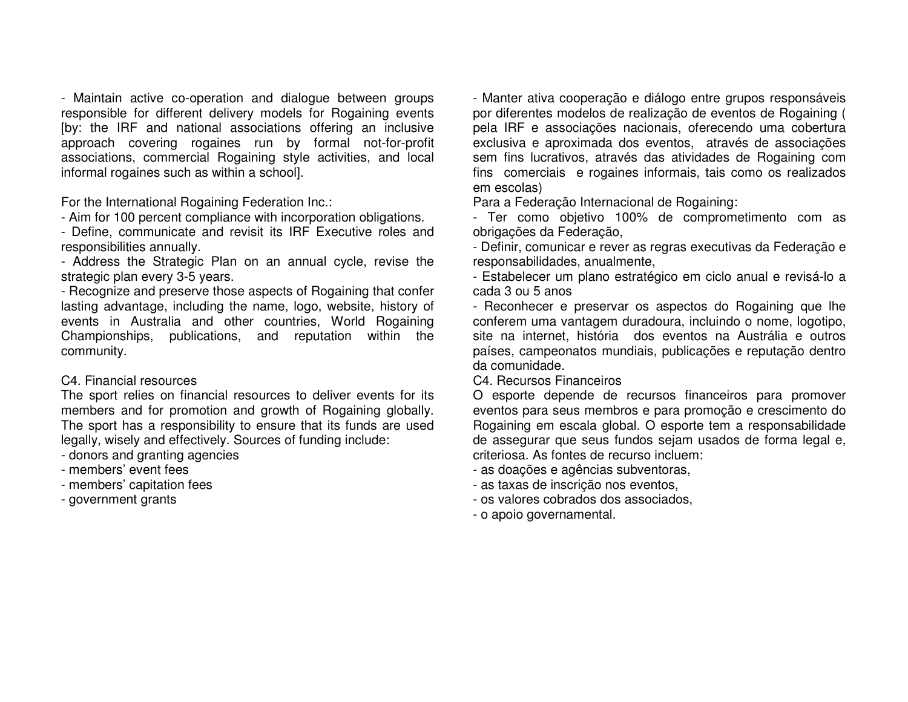- Maintain active co-operation and dialogue between groups responsible for different delivery models for Rogaining events [by: the IRF and national associations offering an inclusive approach covering rogaines run by formal not-for-profit associations, commercial Rogaining style activities, and local informal rogaines such as within a school].

For the Intern ational Rog aining Federation In c.:

- Aim for 100 percent compliance with incorporation obligations.

- Define, communicate and revisit its IRF Executive roles and responsibilities annually.

- Address the Strategic Plan on an annual cycle, revise the strategic plan every 3-5 years.

- Recognize and preserve those aspects of Rogaining that confer lasting advantage, including the name, logo, website, history of events in Australia and other countries, World Rogaining Championships, publications, and reputation within the community.

# C4. Financial resources

The sport relies on financial resources to deliver events for its members and for promotion and growth of Rogaining globally. The sport has a responsibility to ensure that its funds are used legally, wisely and effectively. Sources of funding include:

- donors and granting agencies
- members' event fees
- members' capitatio n fe es
- g overnment gra nts

- Manter ativa cooperação e diálogo entre grupos responsáveis por diferentes modelos de realização de eventos de Rogaining ( pela IRF e associações nacionais, oferecendo uma cobertura exclusiva e aproximada dos eventos, através de associações sem fins lucrativos, através das atividades de Rogaining com fins comerciais e rogaines informais, tais como os realizados em escolas)

Para a Federação Internacional de Rogaining:

- Ter como objetivo 100% de comprometimento com as obrigações da Federação,

- Definir, <sup>c</sup> omunicar e re ver as regra sexecutivasdaFederaç ãoeresponsabilidades, anualmente,

- Estabelecer um plano estratégico em ciclo anual e revisá-lo a cada 3 ou 5 anos

- Reconhecer e preservar os aspectos do Rogaining que lhe conferem uma vantagem duradoura, incluindo o nome, logotipo, site na internet, história dos eventos na Austrália e outros países, campeonatos mundiais, publicações e reputação dentro da comunidade.

C4. Recursos Financeiros

O esporte depende de recursos financeiros para promover eventos para seus membros e para promoção e crescimento do Rogaining em escala global. O esporte tem a responsabilidade de assegurar que seus fundos sejam usados de forma legal e, criteriosa. As fontes de recurso incluem:

- as doações e agências subventoras,
- as taxas de inscrição nos eventos,
- os valores cobrados dos associados,
- o apoio governamental.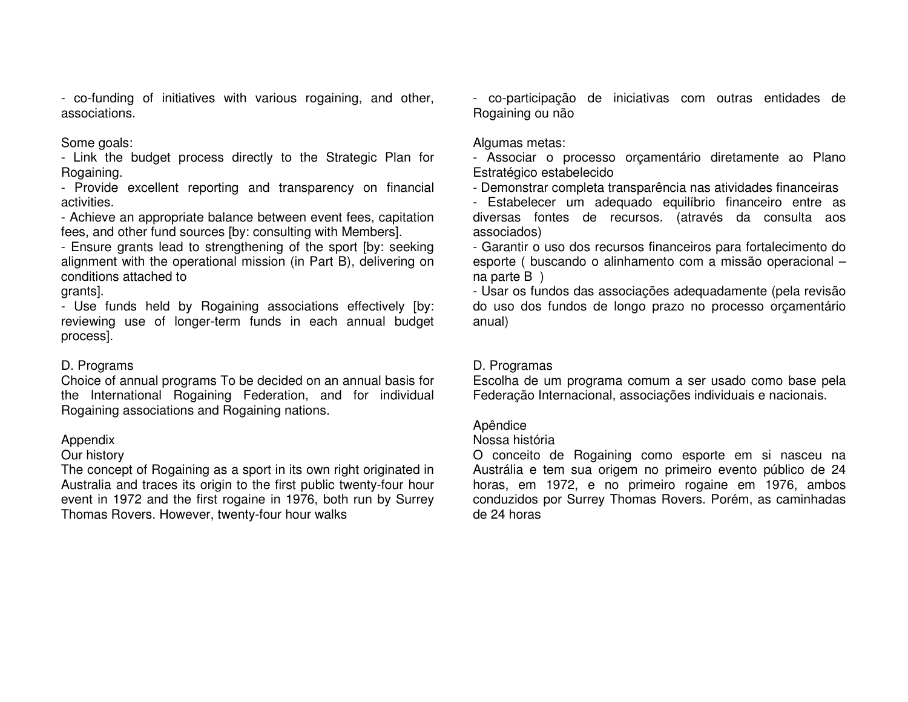- co-funding of initiatives with various rogaining, and other, associations.

Some goals:

- Link the budget process directly to the Strategic Plan for Rogaining.

- Provide excellent reporting and transparency on financial activities.

- Achieve an appropriate balance between event fees, capitation fees, and other fund sources [by: consulting with Members].

- Ensure grants lead to strengthening of the sport [by: seeking alignment with the operational mission (in Part B), delivering on conditions attached to

grants].

- Use funds held by Rogaining associations effectively [by: reviewing use of longer-term funds in each annual budget process].

# D. Programs

Choice of annual programs To be decided on an annual basis for the International Rogaining Federation, and for individual Rogaining associations and Rogaining nations.

# Appendix

# Our history

The concept of Rogaining as <sup>a</sup> sport in its own right originated in Australia and traces its origin to the first public twenty-four hour event in 1972 and the first rogaine in 1976, both run by Surrey Thomas Rovers. However, twenty-four hour walks

- co-participação de iniciativas com outras entidades de Rogaining ou não

Algumas metas:

- Associar o processo orçamentário diretamente ao Plano Estratégico estabelecido

- Demonstrar completa transparência nas atividades financeiras

- Estabelecer um adequado equilíbrio financeiro entre as diversas fontes de recursos. (através da consulta aos associados)

- Garantir o uso dos recursos financeiros para fortalecimento do esporte ( buscando <sup>o</sup> alinhamento com <sup>a</sup> missão operacional – na parte B )

- Usar os fundos das associações adequadamente (pela revisão do uso dos fundos de longo prazo no processo orçamentário anual)

# D. Programas

Escolha de um programa comum <sup>a</sup> ser usado como base pela Federação Internacional, associações individuais <sup>e</sup> nacionais.

# Apêndice

# Nossa história

O conceito de Rogaining como esporte em si nasceu na Austrália e tem sua origem no primeiro evento público de 24 horas, em 1972, <sup>e</sup> no primeiro rogaine em 1976, ambos conduzidos por Surrey Thomas Rovers. Porém, as caminhadas de 24 horas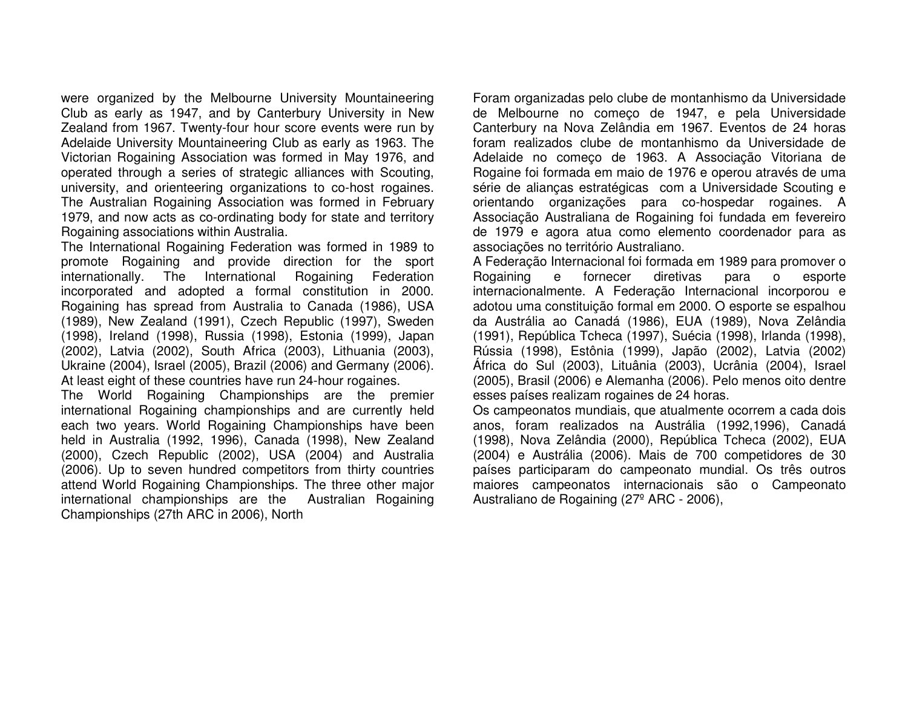were organized by the Melbourne University Mountaineering Club as early as 1947, and by Canterbury University in New Zealand from 1967. Twenty-four hour score events were run by Adelaide University Mountaineering Club as early as 1963. The Victorian Rogaining Association was formed in May 1976, and operated through a series of strategic alliances with Scouting, university, and orienteering organizations to co-host rogaines. The Australian Rogaining Association was formed in February 1979, and now acts as co-ordinating body for state and territory Rogaining associations within Australia.

The International Rogaining Federation was formed in 1989 to promote Rogaining and provide direction for the sport internationally. The International Rogaining **Federation** incorporated and adopted a formal constitution in 2000. Rogaining has spread from Australia to Canada (1986), USA (1989), New Zealand (1991), Czech Republic (1997), Sweden (1998), Ireland (1998), Russia (1998), Estonia (1999), Japan (2002), Latvia (2002), South Africa (2003), Lithuania (2003), Ukraine (2004), Israel (2005), Brazil (2006) and Germany (2006). At least eight of these countries have run 24-hour rogaines.

The World Rogaining Championships are the premier international Rogaining championships and are currently held each two years. World Rogaining Championships have been held in Australia (1992, 1996), Canada (1998), New Zealand (2000), Czech Republic (2002), USA (2004) and Australia (2006). Up to seven hundred competitors from thirty countries attend World Rogaining Championships. The three other major international championships are the Australian Rogaining Championships (27th ARC in 2006), North

Foram organizadas pelo clube de montanhismo da Universidade de Melbourne no começo de 1947, e pela Universidade Canterbury na Nova Zelândia em 1967. Eventos de 24 horas foram realizados clube de montanhismo da Universidade de Adelaide no começo de 1963. A Associação Vitoriana de Rogaine foi formada em maio de 1976 e operou através de uma série de alianças estratégicas com a Universidade Scouting e orientando organizações para co-hospedar rogaines. A Associação Australiana de Rogaining foi fundada em fevereiro de 1979 e agora atua como elemento coordenador para as associações no território Australiano.

A Federação Internacional foi formada em 1989 para promover o Rog aining ee fornecer diretivasp araoesp orteinternacionalmente. A Federação Internacional incorporou e adotou uma constituição formal em 2000. O esporte se espalhou da Austrália ao Canadá (1986), EUA (1989), Nova Zelândia (1991), República Tcheca (1997), Suécia (1998), Irlanda (1998), Rússia (19 98), E stônia (19 99), J ap ão (2 002), L atvia (2 002) África do Sul (2003), Lituânia (2003), Ucrânia (2004), Israel (2005), Brasil (2006) e Alemanha (2006). Pelo menos oito dentre esses países realizam rogaines de 24 horas.

Os campeonatos mundiais, que atualmente ocorrem a cada dois anos, foram realizados na Austrália (1992,1996), Canadá (1998), Nova Zelândia (2000), República Tcheca (2002), EUA (2004) e Austrália (2006). Mais de 700 competidores de 30 países participaram do campeonato mundial. Os três outros maiores campeonatos internacionais são o Campeonato Australiano de Rogaining (27º ARC - 2006),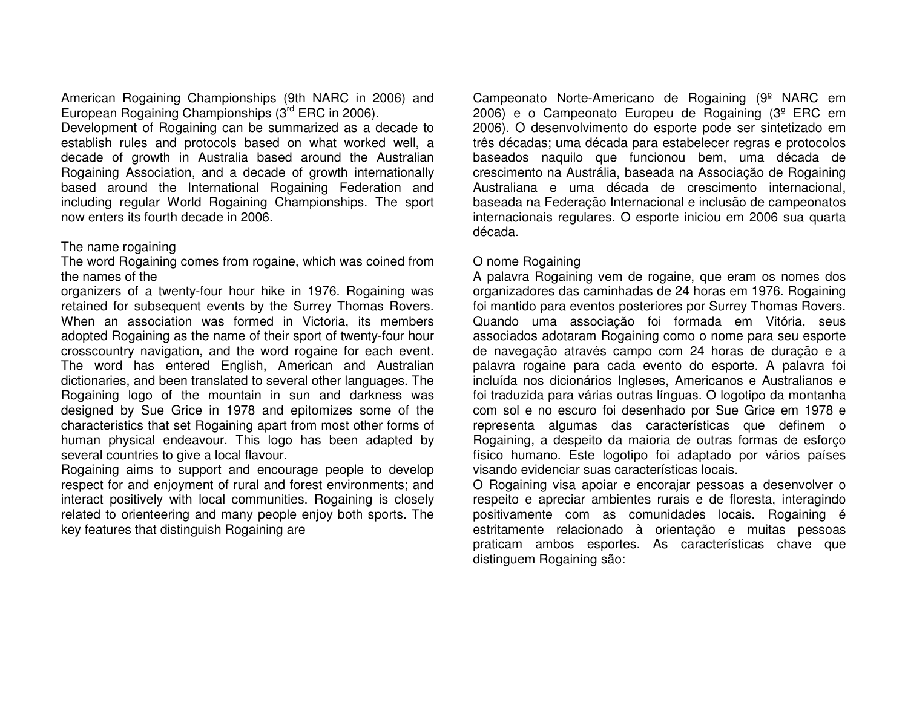American Rogaining Championships (9th NARC in 2006) and European Rogaining Championships (3rd ERC in 2006).

Development of Rogaining can be summarized as a decade to establish rules and protocols based on what worked well, a decade of growth in Australia based around the Australian Rogaining Association, and a decade of growth internationally based around the International Rogaining Federation and including regular World Rogaining Championships. The sport now enters its fourth decade in 2006.

#### The name rogaining

The word Rogaining comes from rogaine, which was coined from the names of the

org aniz ers of a twenty-fo ur hour hik e in 19 76. Rog aining was retained for subsequent events by the Surrey Thomas Rovers. When an association was formed in Victoria, its members adopted Rogaining as the name of their sport of twenty-four hour crosscountry navigation, and the word rogaine for each event. The word has entered English, American and Australian dictionaries, and been translated to several other languages. The Rogaining logo of the mountain in sun and darkness was designed by Sue Grice in 1978 and epitomizes some of the characteristics that set Rogaining apart from most other forms of human physical endeavour. This logo has been adapted by several countries to give a local flavour.

Rogaining aims to support and encourage people to develop respect for and enjoyment of rural and forest environments; and interact positively with local communities. Rogaining is closely related to orienteering and many people enjoy both sports. The k e y fe ature s th at distin g uis h Ro g ainin g are

Campeonato Norte-Americano de Rogaining (9º NARC em 2006) e o Campeonato Europeu de Rogaining (3º ERC em 2006). O desenvolvimento do esporte pode ser sintetizado em três décadas; uma década para estabelecer regras e protocolos baseados naquilo que funcionou bem, uma década de crescimento na Austrália, baseada na Associação de Rogaining Australiana e uma década de crescimento internacional, baseada na Federação Internacional e inclusão de campeonatos internacionais regulares. O esporte iniciou em 2006 sua quarta década.

#### O nome Rogaining

A palavra Rogaining vem de rogaine, que eram os nomes dos organizadores das caminhadas de 24 horas em 1976. Rogaining foi mantido para eventos posteriores por Surrey Thomas Rovers. Quando uma associação foi formada em Vitória, seus associados adotaram Rogaining como o nome para seu esporte de navegação através campo com 24 horas de duração e a palavra rogaine para cada evento do esporte. A palavra foi incluída nos dicionários Ingleses, Americanos e Australianos e foi traduzida para várias outras línguas. O logotipo da montanha com sol e no escuro foi desenhado por Sue Grice em 1978 e representa algumas das características que definem o Rogaining, a despeito da maioria de outras formas de esforço físico humano. Este logotipo foi adaptado por vários países visando evidenciar suas características locais.

O Rogaining visa apoiar e encorajar pessoas a desenvolver o respeito e apreciar ambientes rurais e de floresta, interagindo positivamente com as comunidades locais. Rogaining é estritamente relacionado à orientação e muitas pessoas praticam ambos esportes. As características chave que distinguem Rogaining são: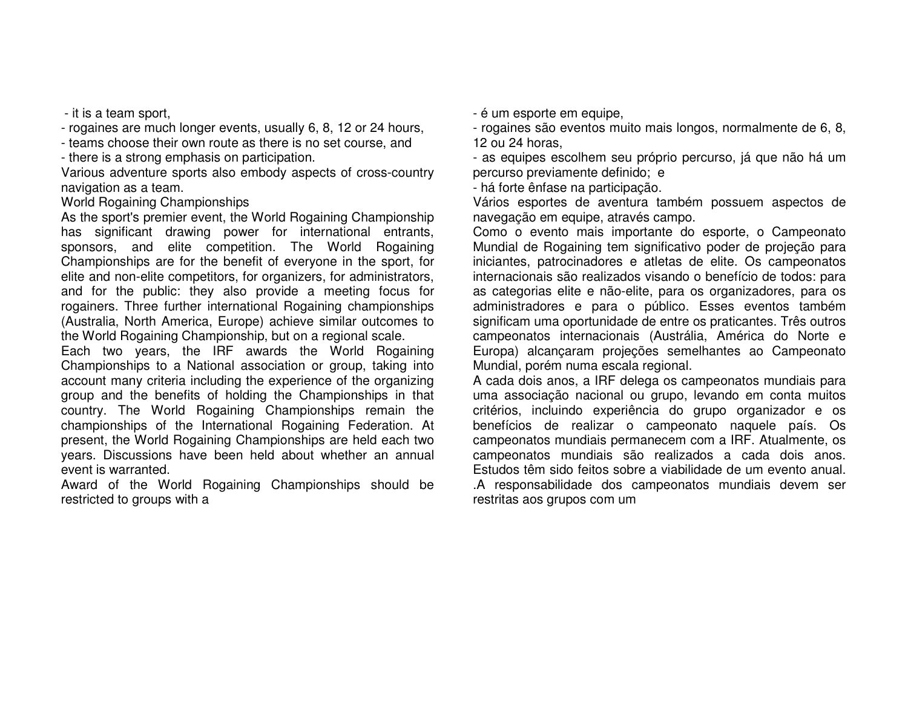- it is a te a m s p ort,

- rogaines are much longer events, usually 6, 8, 12 or 24 hours,

- teams choose their own route as there is no set course, and

- there is a strong emphasis on participation.

Various adventure sports also embody aspects of cross-country navigation as a team.

World Rogaining Championships

As the sport's premier event, the World Rogaining Championship has significant drawing power for international entrants, sponsors, and elite competition. The World Rogaining Championships are for the benefit of everyone in the sport, for elite and non-elite competitors, for organizers, for administrators, and for the public: they also provide a meeting focus for rogainers. Three further international Rogaining championships (A u stralia, N orth A meric a, E uro p e) <sup>a</sup> c hie v e similar o utc o me s to the World Rogaining Championship, but on a regional scale.

Each two years, the IRF awards the World Rogaining Championships to a National association or group, taking into account many criteria including the experience of the organizing group and the benefits of holding the Championships in that country. The World Rogaining Championships remain the championships of the International Rogaining Federation. At present, the World Rogaining Championships are held each two years. Discussions have been held about whether an annual event is warranted.

Award of the World Rogaining Championships should be restricted to groups with a

- é um esporte em equipe,

- rogaines são eventos muito mais longos, normalmente de 6, 8, 12ou24horas,

- as equipes escolhem seu próprio percurso, já que não há um p erc urs o pre via me nte d efinid o; e

- há forte ênfase na participação.

Vários esportes de aventura também possuem aspectos de navegação em equipe, através campo.

Como o evento mais importante do esporte, o Campeonato Mundial de Rogaining tem significativo poder de projeção para iniciantes, patrocinadores e atletas de elite. Os campeonatos internacionais são realizados visando o benefício de todos: para as categorias elite e não-elite, para os organizadores, para os administradores e para o público. Esses eventos também significam uma oportunidade de entre os praticantes. Três outros campeonatos internacionais (Austrália, América do Norte e Europa) alcançaram projeções semelhantes ao Campeonato Mundial, porém numa escala regional.

A cada dois anos, a IRF delega os campeonatos mundiais para uma associação nacional ou grupo, levando em conta muitos critérios, incluindo experiência do grupo organizador e os benefícios de realizar o campeonato naquele país. Os campeonatos mundiais permanecem com a IRF. Atualmente, os campeonatos mundiais são realizados a cada dois anos. Estudos têm sido feitos sobre a viabilidade de um evento anual. .A responsabilidade dos campeonatos mundiais devem ser restritas aos grupos com um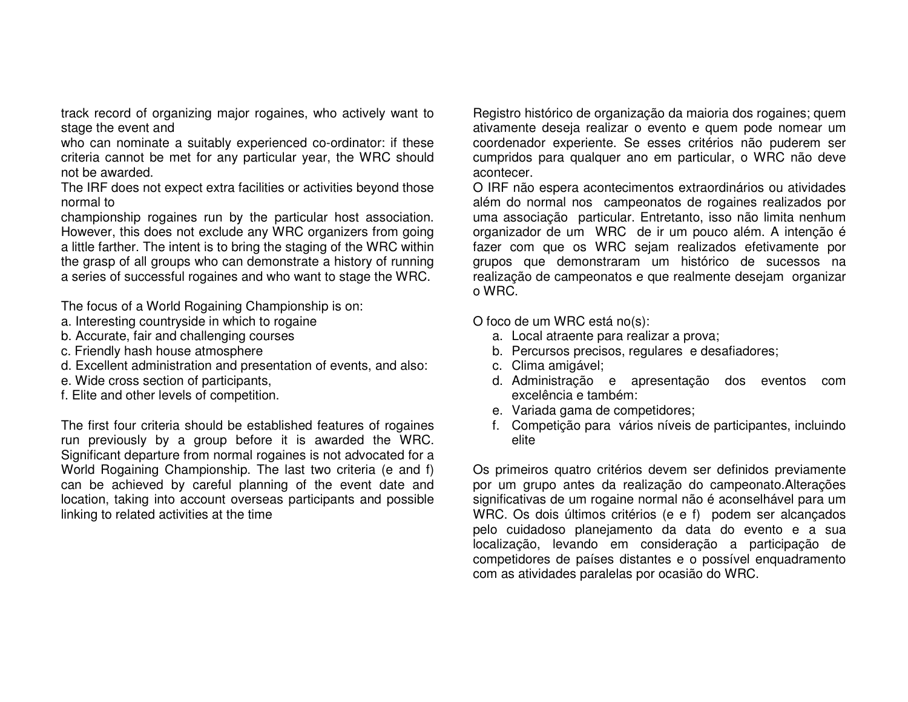track record of organizing major rogaines, who actively want to stage the event and

who can nominate a suitably experienced co-ordinator: if these criteria cannot be met for any particular year, the WRC should not be awarded.

The IRF does not expect extra facilities or activities beyond those normal to

championship rogaines run by the particular host association. However, this does not exclude any WRC organizers from going a little farther. The intent is to bring the staging of the WRC within the grasp of all groups who can demonstrate a history of running a series of successful rogaines and who want to stage the WRC.

The focus of a World Rogaining Championship is on:

- a. Interesting countryside in which to rogaine
- b. Ac c urate, fair <sup>a</sup> ndc hallengin g c ours es
- c. Friendly hashhouseatmosp here
- d. Excellent administration and presentation of events, and also:
- e. Wide cross section of participants,
- f. Elite and other levels of competition.

The first four criteria should be established features of rogaines run previously by a group before it is awarded the WRC. Significant departure from normal rogaines is not advocated for a World Rogaining Championship. The last two criteria (e and f) can be achieved by careful planning of the event date and location, taking into account overseas participants and possible linking to related activities at the time

Registro histórico de organização da maioria dos rogaines; quem ativamente deseja realizar o evento e quem pode nomear um coordenador experiente. Se esses critérios não puderem ser cumpridos para qualquer ano em particular, o WRC não deve acontecer.

O IRF não espera acontecimentos extraordinários ou atividades além do normal nos campeonatos de rogaines realizados por uma associação particular. Entretanto, isso não limita nenhum organizador de um WRC de ir um pouco além. A intenção é fazer com que os WRC sejam realizados efetivamente por grupos que demonstraram um histórico de sucessos na realização de campeonatos e que realmente desejam organizar oWRC.

O foco de um WRC está no(s):

- a. Local atraente para realizar a prova;
- b. Percursos precisos, regulares e desafiadores;
- c. Clima amigável;
- d. Administração e apresentação dos eventos com excelência e também:
- e. Variada gama de competidores;
- f. Competição para vários níveis de participantes, incluindo elite

Os primeiros quatro critérios devem ser definidos previamente por um grupo antes da realização do campeonato.Alterações significativas de um rogaine normal não é aconselhável para um WRC. Os dois últimos critérios (e e f) podem ser alcançados pelo cuidadoso planejamento da data do evento e a sua localização, levando em consideração a participação de competidores de países distantes e o possível enquadramento com as atividades paralelas por ocasião do WRC.